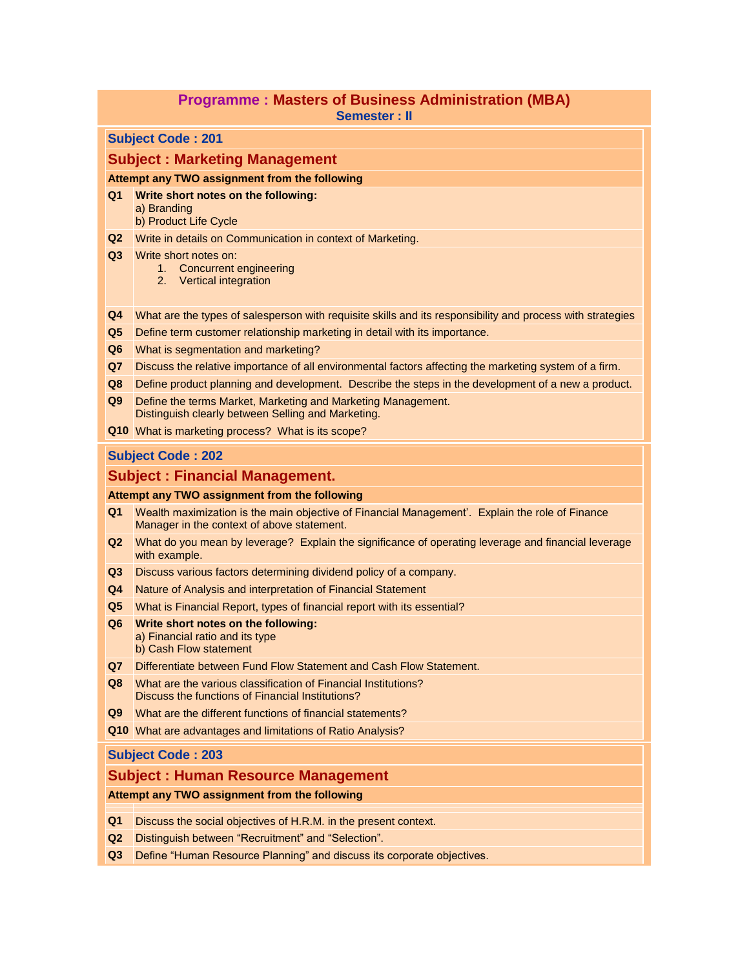## **Programme : Masters of Business Administration (MBA) Semester : II**

#### **Subject Code : 201**

#### **Subject : Marketing Management**

#### **Attempt any TWO assignment from the following**

#### **Q1 Write short notes on the following:**

- a) Branding
- b) Product Life Cycle
- **Q2** Write in details on Communication in context of Marketing.
- **Q3** Write short notes on:
	- 1. Concurrent engineering
	- 2. Vertical integration
- **Q4** What are the types of salesperson with requisite skills and its responsibility and process with strategies
- **Q5** Define term customer relationship marketing in detail with its importance.
- **Q6** What is segmentation and marketing?
- **Q7** Discuss the relative importance of all environmental factors affecting the marketing system of a firm.
- **Q8** Define product planning and development. Describe the steps in the development of a new a product.
- **Q9** Define the terms Market, Marketing and Marketing Management. Distinguish clearly between Selling and Marketing.
- **Q10** What is marketing process? What is its scope?

## **Subject Code : 202**

## **Subject : Financial Management.**

#### **Attempt any TWO assignment from the following**

- **Q1** Wealth maximization is the main objective of Financial Management'. Explain the role of Finance Manager in the context of above statement.
- **Q2** What do you mean by leverage? Explain the significance of operating leverage and financial leverage with example.
- **Q3** Discuss various factors determining dividend policy of a company.
- **Q4** Nature of Analysis and interpretation of Financial Statement
- **Q5** What is Financial Report, types of financial report with its essential?
- **Q6 Write short notes on the following:** a) Financial ratio and its type b) Cash Flow statement
- **Q7** Differentiate between Fund Flow Statement and Cash Flow Statement.
- **Q8** What are the various classification of Financial Institutions? Discuss the functions of Financial Institutions?
- **Q9** What are the different functions of financial statements?
- **Q10** What are advantages and limitations of Ratio Analysis?

## **Subject Code : 203**

## **Subject : Human Resource Management**

- **Q1** Discuss the social objectives of H.R.M. in the present context.
- **Q2** Distinguish between "Recruitment" and "Selection".
- **Q3** Define "Human Resource Planning" and discuss its corporate objectives.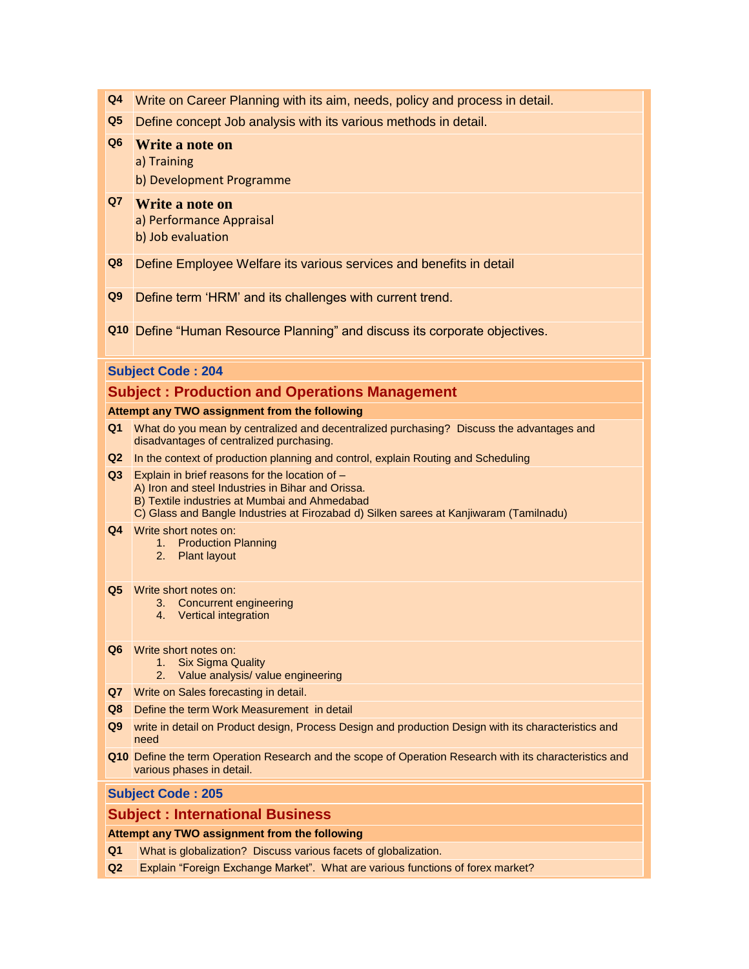- **Q4** Write on Career Planning with its aim, needs, policy and process in detail.
- **Q5** Define concept Job analysis with its various methods in detail.

# **Q6 Write a note on**

a) Training

- b) Development Programme
- **Q7 Write a note on** a) Performance Appraisal b) Job evaluation
- **Q8** Define Employee Welfare its various services and benefits in detail
- **Q9** Define term "HRM" and its challenges with current trend.
- **Q10** Define "Human Resource Planning" and discuss its corporate objectives.

# **Subject Code : 204**

# **Subject : Production and Operations Management**

#### **Attempt any TWO assignment from the following**

- **Q1** What do you mean by centralized and decentralized purchasing? Discuss the advantages and disadvantages of centralized purchasing.
- **Q2** In the context of production planning and control, explain Routing and Scheduling
- **Q3** Explain in brief reasons for the location of
	- A) Iron and steel Industries in Bihar and Orissa.
	- B) Textile industries at Mumbai and Ahmedabad
	- C) Glass and Bangle Industries at Firozabad d) Silken sarees at Kanjiwaram (Tamilnadu)
- **Q4** Write short notes on:
	- 1. Production Planning
	- 2. Plant layout

#### **Q5** Write short notes on:

- 3. Concurrent engineering
- 4. Vertical integration
- **Q6** Write short notes on:
	- 1. Six Sigma Quality
	- 2. Value analysis/ value engineering
- **Q7** Write on Sales forecasting in detail.
- **Q8** Define the term Work Measurement in detail
- **Q9** write in detail on Product design, Process Design and production Design with its characteristics and need
- **Q10** Define the term Operation Research and the scope of Operation Research with its characteristics and various phases in detail.

# **Subject Code : 205**

# **Subject : International Business**

- **Q1** What is globalization? Discuss various facets of globalization.
- **Q2** Explain "Foreign Exchange Market". What are various functions of forex market?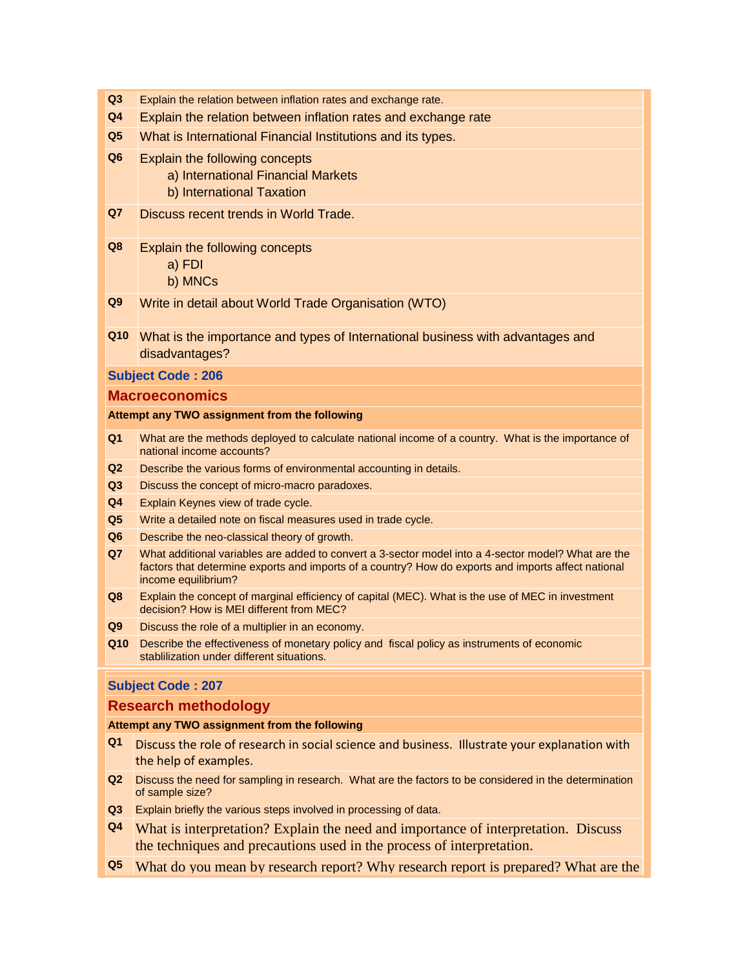- **Q3** Explain the relation between inflation rates and exchange rate.
- **Q4** Explain the relation between inflation rates and exchange rate
- **Q5** What is International Financial Institutions and its types.
- **Q6** Explain the following concepts
	- a) International Financial Markets
	- b) International Taxation
- **Q7** Discuss recent trends in World Trade.
- **Q8** Explain the following concepts
	- a) FDI
	- b) MNCs
- **Q9** Write in detail about World Trade Organisation (WTO)
- **Q10** What is the importance and types of International business with advantages and disadvantages?

#### **Subject Code : 206**

## **Macroeconomics**

#### **Attempt any TWO assignment from the following**

- **Q1** What are the methods deployed to calculate national income of a country. What is the importance of national income accounts?
- **Q2** Describe the various forms of environmental accounting in details.
- **Q3** Discuss the concept of micro-macro paradoxes.
- **Q4** Explain Keynes view of trade cycle.
- **Q5** Write a detailed note on fiscal measures used in trade cycle.
- **Q6** Describe the neo-classical theory of growth.
- **Q7** What additional variables are added to convert a 3-sector model into a 4-sector model? What are the factors that determine exports and imports of a country? How do exports and imports affect national income equilibrium?
- **Q8** Explain the concept of marginal efficiency of capital (MEC). What is the use of MEC in investment decision? How is MEI different from MEC?
- **Q9** Discuss the role of a multiplier in an economy.
- **Q10** Describe the effectiveness of monetary policy and fiscal policy as instruments of economic stablilization under different situations.

# **Subject Code : 207**

## **Research methodology**

- **Q1** Discuss the role of research in social science and business. Illustrate your explanation with the help of examples.
- **Q2** Discuss the need for sampling in research. What are the factors to be considered in the determination of sample size?
- **Q3** Explain briefly the various steps involved in processing of data.
- **Q4** What is interpretation? Explain the need and importance of interpretation. Discuss the techniques and precautions used in the process of interpretation.
- **Q5** What do you mean by research report? Why research report is prepared? What are the